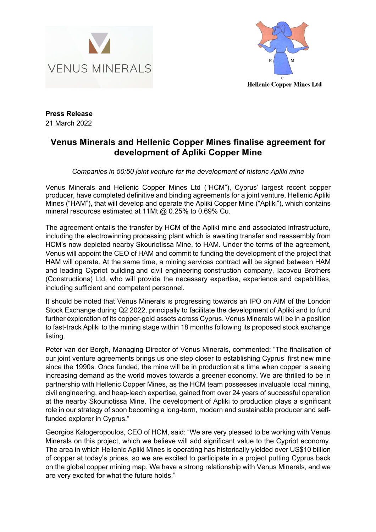



**Press Release**  21 March 2022

## **Venus Minerals and Hellenic Copper Mines finalise agreement for development of Apliki Copper Mine**

*Companies in 50:50 joint venture for the development of historic Apliki mine* 

Venus Minerals and Hellenic Copper Mines Ltd ("HCM"), Cyprus' largest recent copper producer, have completed definitive and binding agreements for a joint venture, Hellenic Apliki Mines ("HAM"), that will develop and operate the Apliki Copper Mine ("Apliki"), which contains mineral resources estimated at 11Mt @ 0.25% to 0.69% Cu.

The agreement entails the transfer by HCM of the Apliki mine and associated infrastructure, including the electrowinning processing plant which is awaiting transfer and reassembly from HCM's now depleted nearby Skouriotissa Mine, to HAM. Under the terms of the agreement, Venus will appoint the CEO of HAM and commit to funding the development of the project that HAM will operate. At the same time, a mining services contract will be signed between HAM and leading Cypriot building and civil engineering construction company, Iacovou Brothers (Constructions) Ltd, who will provide the necessary expertise, experience and capabilities, including sufficient and competent personnel.

It should be noted that Venus Minerals is progressing towards an IPO on AIM of the London Stock Exchange during Q2 2022, principally to facilitate the development of Apliki and to fund further exploration of its copper-gold assets across Cyprus. Venus Minerals will be in a position to fast-track Apliki to the mining stage within 18 months following its proposed stock exchange listing.

Peter van der Borgh, Managing Director of Venus Minerals, commented: "The finalisation of our joint venture agreements brings us one step closer to establishing Cyprus' first new mine since the 1990s. Once funded, the mine will be in production at a time when copper is seeing increasing demand as the world moves towards a greener economy. We are thrilled to be in partnership with Hellenic Copper Mines, as the HCM team possesses invaluable local mining, civil engineering, and heap-leach expertise, gained from over 24 years of successful operation at the nearby Skouriotissa Mine. The development of Apliki to production plays a significant role in our strategy of soon becoming a long-term, modern and sustainable producer and selffunded explorer in Cyprus."

Georgios Kalogeropoulos, CEO of HCM, said: "We are very pleased to be working with Venus Minerals on this project, which we believe will add significant value to the Cypriot economy. The area in which Hellenic Apliki Mines is operating has historically yielded over US\$10 billion of copper at today's prices, so we are excited to participate in a project putting Cyprus back on the global copper mining map. We have a strong relationship with Venus Minerals, and we are very excited for what the future holds."